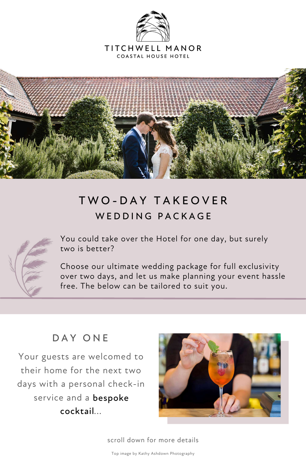

#### TITCHWELL MANOR **COASTAL HOUSE HOTEL**



scroll down for more details

You could take over the Hotel for one day, but surely two is better?

## T W O - D A Y T A K E O V E R WEDDING PACKAGE



Choose our ultimate wedding package for full exclusivity over two days, and let us make planning your event hassle free. The below can be tailored to suit you.

## DAY ONE

Your guests are welcomed to their home for the next two days with a personal check-in service and a bespoke cocktail... cocktail



Top image by Kathy Ashdown Photography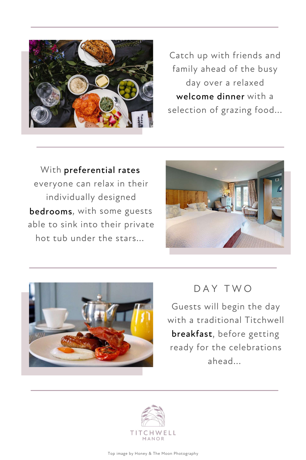With preferential rates, preferential rates everyone can relax in their individually designed bedrooms, with some guests bedrooms able to sink into their private hot tub under the stars...







DAY IWO



Catch up with friends and family ahead of the busy day over a relaxed welcome dinner with a selection of grazing food...

Guests will begin the day with a traditional Titchwell breakfast, before getting breakfastready for the celebrations ahead...

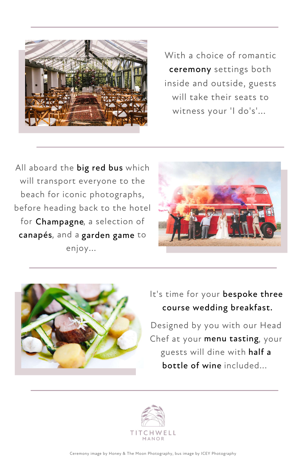Ceremony image by Honey & The Moon Photography, bus image by ICEY Photography



With a choice of romantic ceremony settings both ceremony inside and outside, guests will take their seats to witness your 'I do's'...

All aboard the big red bus which will transport everyone to the beach for iconic photographs, before heading back to the hotel for Champagne, a selection of canapés, and a garden game to enjoy...





It's time for your bespoke three course wedding breakfast course weddingbreakfast.

Designed by you with our Head Chef at your menu tasting, your guests will dine with half a half a bottle of wine included... bottle of wine

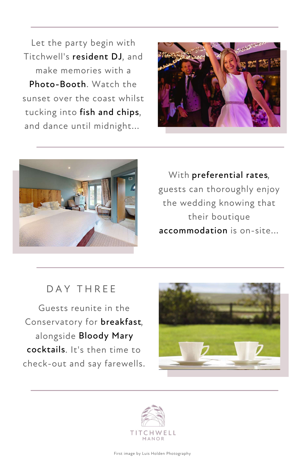Let the party begin with Titchwell's resident DJ, and make memories with a Photo-Booth. Watch the sunset over the coast whilst tucking into fish and chips, fish and chips and dance until midnight...





### D A Y T H R E E

With preferential rates, preferential rates guests can thoroughly enjoy the wedding knowing that their boutique accommodation is on-site... accommodation







Guests reunite in the Conservatory for **breakfast**, alongside Bloody Mary cocktails. It's then time to check-out and say farewells.